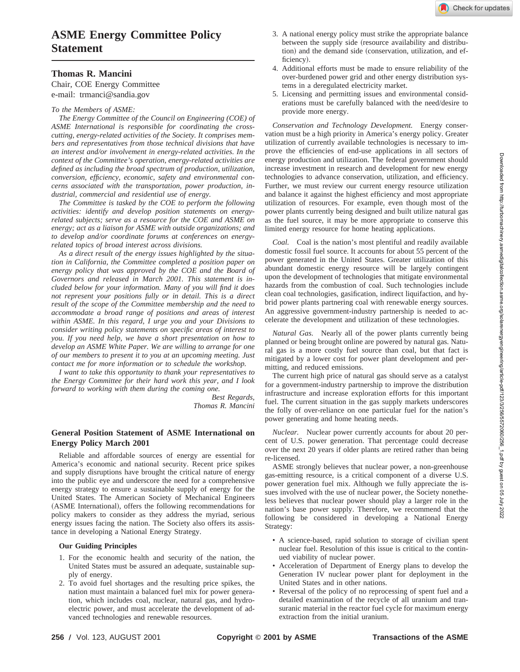# **ASME Energy Committee Policy Statement**

## **Thomas R. Mancini**

Chair, COE Energy Committee e-mail: trmanci@sandia.gov

### *To the Members of ASME:*

*The Energy Committee of the Council on Engineering (COE) of ASME International is responsible for coordinating the crosscutting, energy-related activities of the Society. It comprises members and representatives from those technical divisions that have an interest and/or involvement in energy-related activities. In the context of the Committee's operation, energy-related activities are defined as including the broad spectrum of production, utilization, conversion, efficiency, economic, safety and environmental concerns associated with the transportation, power production, industrial, commercial and residential use of energy.*

*The Committee is tasked by the COE to perform the following activities: identify and develop position statements on energyrelated subjects; serve as a resource for the COE and ASME on energy; act as a liaison for ASME with outside organizations; and to develop and/or coordinate forums at conferences on energyrelated topics of broad interest across divisions.*

*As a direct result of the energy issues highlighted by the situation in California, the Committee completed a position paper on energy policy that was approved by the COE and the Board of Governors and released in March 2001. This statement is included below for your information. Many of you will find it does not represent your positions fully or in detail. This is a direct result of the scope of the Committee membership and the need to accommodate a broad range of positions and areas of interest within ASME. In this regard, I urge you and your Divisions to consider writing policy statements on specific areas of interest to you. If you need help, we have a short presentation on how to develop an ASME White Paper. We are willing to arrange for one of our members to present it to you at an upcoming meeting. Just contact me for more information or to schedule the workshop.*

*I want to take this opportunity to thank your representatives to the Energy Committee for their hard work this year, and I look forward to working with them during the coming one.*

> *Best Regards, Thomas R. Mancini*

### **General Position Statement of ASME International on Energy Policy March 2001**

Reliable and affordable sources of energy are essential for America's economic and national security. Recent price spikes and supply disruptions have brought the critical nature of energy into the public eye and underscore the need for a comprehensive energy strategy to ensure a sustainable supply of energy for the United States. The American Society of Mechanical Engineers (ASME International), offers the following recommendations for policy makers to consider as they address the myriad, serious energy issues facing the nation. The Society also offers its assistance in developing a National Energy Strategy.

#### **Our Guiding Principles**

- 1. For the economic health and security of the nation, the United States must be assured an adequate, sustainable supply of energy.
- 2. To avoid fuel shortages and the resulting price spikes, the nation must maintain a balanced fuel mix for power generation, which includes coal, nuclear, natural gas, and hydroelectric power, and must accelerate the development of advanced technologies and renewable resources.
- 3. A national energy policy must strike the appropriate balance between the supply side (resource availability and distribution) and the demand side (conservation, utilization, and efficiency).
- 4. Additional efforts must be made to ensure reliability of the over-burdened power grid and other energy distribution systems in a deregulated electricity market.
- 5. Licensing and permitting issues and environmental considerations must be carefully balanced with the need/desire to provide more energy.

*Conservation and Technology Development.* Energy conservation must be a high priority in America's energy policy. Greater utilization of currently available technologies is necessary to improve the efficiencies of end-use applications in all sectors of energy production and utilization. The federal government should increase investment in research and development for new energy technologies to advance conservation, utilization, and efficiency. Further, we must review our current energy resource utilization and balance it against the highest efficiency and most appropriate utilization of resources. For example, even though most of the power plants currently being designed and built utilize natural gas as the fuel source, it may be more appropriate to conserve this limited energy resource for home heating applications.

*Coal.* Coal is the nation's most plentiful and readily available domestic fossil fuel source. It accounts for about 55 percent of the power generated in the United States. Greater utilization of this abundant domestic energy resource will be largely contingent upon the development of technologies that mitigate environmental hazards from the combustion of coal. Such technologies include clean coal technologies, gasification, indirect liquifaction, and hybrid power plants partnering coal with renewable energy sources. An aggressive government-industry partnership is needed to accelerate the development and utilization of these technologies.

*Natural Gas.* Nearly all of the power plants currently being planned or being brought online are powered by natural gas. Natural gas is a more costly fuel source than coal, but that fact is mitigated by a lower cost for power plant development and permitting, and reduced emissions.

The current high price of natural gas should serve as a catalyst for a government-industry partnership to improve the distribution infrastructure and increase exploration efforts for this important fuel. The current situation in the gas supply markets underscores the folly of over-reliance on one particular fuel for the nation's power generating and home heating needs.

*Nuclear.* Nuclear power currently accounts for about 20 percent of U.S. power generation. That percentage could decrease over the next 20 years if older plants are retired rather than being re-licensed.

ASME strongly believes that nuclear power, a non-greenhouse gas-emitting resource, is a critical component of a diverse U.S. power generation fuel mix. Although we fully appreciate the issues involved with the use of nuclear power, the Society nonetheless believes that nuclear power should play a larger role in the nation's base power supply. Therefore, we recommend that the following be considered in developing a National Energy Strategy:

- A science-based, rapid solution to storage of civilian spent nuclear fuel. Resolution of this issue is critical to the continued viability of nuclear power.
- Acceleration of Department of Energy plans to develop the Generation IV nuclear power plant for deployment in the United States and in other nations.
- Reversal of the policy of no reprocessing of spent fuel and a detailed examination of the recycle of all uranium and transuranic material in the reactor fuel cycle for maximum energy extraction from the initial uranium.